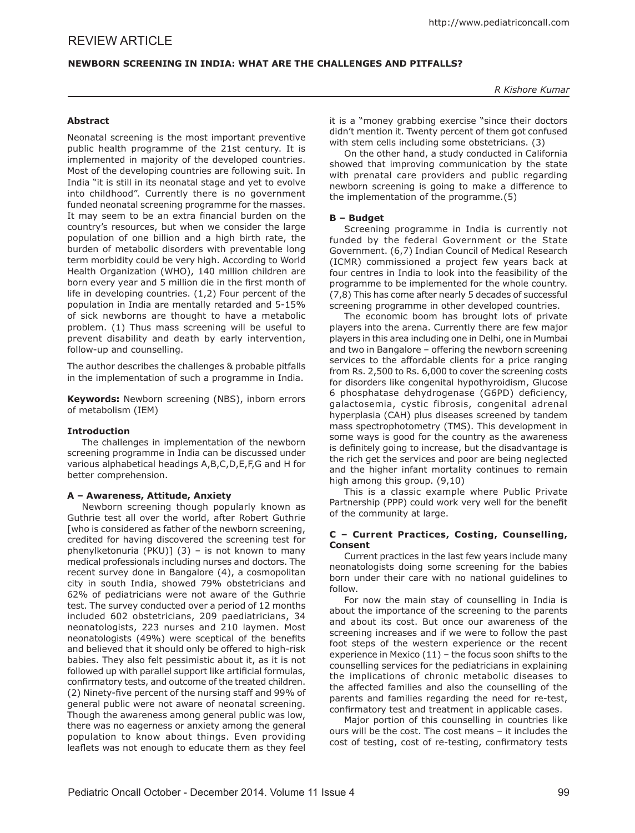# **NEWBORN SCREENING IN INDIA: WHAT ARE THE CHALLENGES AND PITFALLS?**

# **Abstract**

Neonatal screening is the most important preventive public health programme of the 21st century. It is implemented in majority of the developed countries. Most of the developing countries are following suit. In India "it is still in its neonatal stage and yet to evolve into childhood". Currently there is no government funded neonatal screening programme for the masses. It may seem to be an extra financial burden on the country's resources, but when we consider the large population of one billion and a high birth rate, the burden of metabolic disorders with preventable long term morbidity could be very high. According to World Health Organization (WHO), 140 million children are born every year and 5 million die in the first month of life in developing countries. (1,2) Four percent of the population in India are mentally retarded and 5-15% of sick newborns are thought to have a metabolic problem. (1) Thus mass screening will be useful to prevent disability and death by early intervention, follow-up and counselling.

The author describes the challenges & probable pitfalls in the implementation of such a programme in India.

**Keywords:** Newborn screening (NBS), inborn errors of metabolism (IEM)

## **Introduction**

The challenges in implementation of the newborn screening programme in India can be discussed under various alphabetical headings A,B,C,D,E,F,G and H for better comprehension.

## **A – Awareness, Attitude, Anxiety**

Newborn screening though popularly known as Guthrie test all over the world, after Robert Guthrie [who is considered as father of the newborn screening, credited for having discovered the screening test for phenylketonuria (PKU)] (3) – is not known to many medical professionals including nurses and doctors. The recent survey done in Bangalore (4), a cosmopolitan city in south India, showed 79% obstetricians and 62% of pediatricians were not aware of the Guthrie test. The survey conducted over a period of 12 months included 602 obstetricians, 209 paediatricians, 34 neonatologists, 223 nurses and 210 laymen. Most neonatologists (49%) were sceptical of the benefits and believed that it should only be offered to high-risk babies. They also felt pessimistic about it, as it is not followed up with parallel support like artificial formulas, confirmatory tests, and outcome of the treated children. (2) Ninety-five percent of the nursing staff and 99% of general public were not aware of neonatal screening. Though the awareness among general public was low, there was no eagerness or anxiety among the general population to know about things. Even providing leaflets was not enough to educate them as they feel

it is a "money grabbing exercise "since their doctors didn't mention it. Twenty percent of them got confused with stem cells including some obstetricians. (3)

On the other hand, a study conducted in California showed that improving communication by the state with prenatal care providers and public regarding newborn screening is going to make a difference to the implementation of the programme.(5)

## **B – Budget**

Screening programme in India is currently not funded by the federal Government or the State Government. (6,7) Indian Council of Medical Research (ICMR) commissioned a project few years back at four centres in India to look into the feasibility of the programme to be implemented for the whole country. (7,8) This has come after nearly 5 decades of successful screening programme in other developed countries.

The economic boom has brought lots of private players into the arena. Currently there are few major players in this area including one in Delhi, one in Mumbai and two in Bangalore – offering the newborn screening services to the affordable clients for a price ranging from Rs. 2,500 to Rs. 6,000 to cover the screening costs for disorders like congenital hypothyroidism, Glucose 6 phosphatase dehydrogenase (G6PD) deficiency, galactosemia, cystic fibrosis, congenital adrenal hyperplasia (CAH) plus diseases screened by tandem mass spectrophotometry (TMS). This development in some ways is good for the country as the awareness is definitely going to increase, but the disadvantage is the rich get the services and poor are being neglected and the higher infant mortality continues to remain high among this group. (9,10)

This is a classic example where Public Private Partnership (PPP) could work very well for the benefit of the community at large.

## **C – Current Practices, Costing, Counselling, Consent**

Current practices in the last few years include many neonatologists doing some screening for the babies born under their care with no national guidelines to follow.

For now the main stay of counselling in India is about the importance of the screening to the parents and about its cost. But once our awareness of the screening increases and if we were to follow the past foot steps of the western experience or the recent experience in Mexico (11) – the focus soon shifts to the counselling services for the pediatricians in explaining the implications of chronic metabolic diseases to the affected families and also the counselling of the parents and families regarding the need for re-test, confirmatory test and treatment in applicable cases.

Major portion of this counselling in countries like ours will be the cost. The cost means – it includes the cost of testing, cost of re-testing, confirmatory tests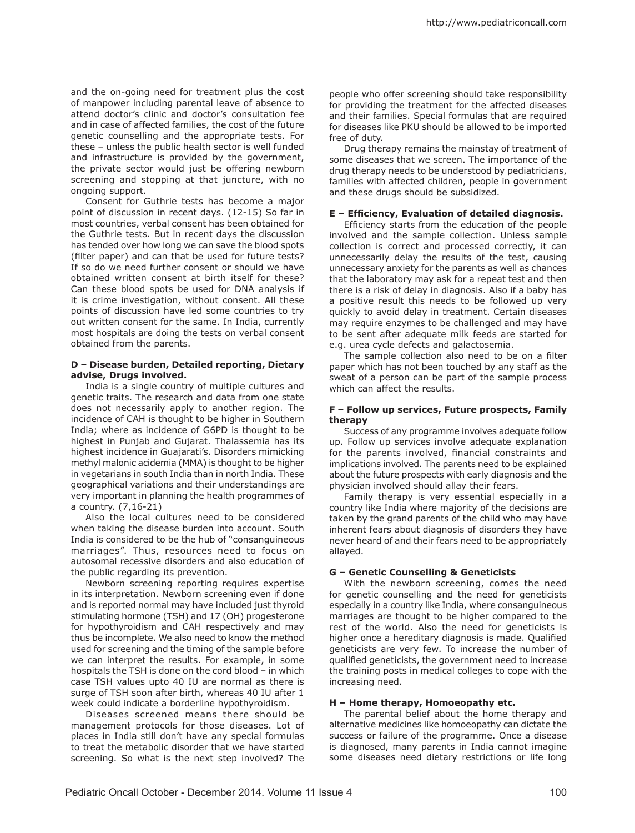and the on-going need for treatment plus the cost of manpower including parental leave of absence to attend doctor's clinic and doctor's consultation fee and in case of affected families, the cost of the future genetic counselling and the appropriate tests. For these – unless the public health sector is well funded and infrastructure is provided by the government, the private sector would just be offering newborn screening and stopping at that juncture, with no ongoing support.

Consent for Guthrie tests has become a major point of discussion in recent days. (12-15) So far in most countries, verbal consent has been obtained for the Guthrie tests. But in recent days the discussion has tended over how long we can save the blood spots (filter paper) and can that be used for future tests? If so do we need further consent or should we have obtained written consent at birth itself for these? Can these blood spots be used for DNA analysis if it is crime investigation, without consent. All these points of discussion have led some countries to try out written consent for the same. In India, currently most hospitals are doing the tests on verbal consent obtained from the parents.

### **D – Disease burden, Detailed reporting, Dietary advise, Drugs involved.**

India is a single country of multiple cultures and genetic traits. The research and data from one state does not necessarily apply to another region. The incidence of CAH is thought to be higher in Southern India; where as incidence of G6PD is thought to be highest in Punjab and Gujarat. Thalassemia has its highest incidence in Guajarati's. Disorders mimicking methyl malonic acidemia (MMA) is thought to be higher in vegetarians in south India than in north India. These geographical variations and their understandings are very important in planning the health programmes of a country. (7,16-21)

Also the local cultures need to be considered when taking the disease burden into account. South India is considered to be the hub of "consanguineous marriages". Thus, resources need to focus on autosomal recessive disorders and also education of the public regarding its prevention.

Newborn screening reporting requires expertise in its interpretation. Newborn screening even if done and is reported normal may have included just thyroid stimulating hormone (TSH) and 17 (OH) progesterone for hypothyroidism and CAH respectively and may thus be incomplete. We also need to know the method used for screening and the timing of the sample before we can interpret the results. For example, in some hospitals the TSH is done on the cord blood – in which case TSH values upto 40 IU are normal as there is surge of TSH soon after birth, whereas 40 IU after 1 week could indicate a borderline hypothyroidism.

Diseases screened means there should be management protocols for those diseases. Lot of places in India still don't have any special formulas to treat the metabolic disorder that we have started screening. So what is the next step involved? The

people who offer screening should take responsibility for providing the treatment for the affected diseases and their families. Special formulas that are required for diseases like PKU should be allowed to be imported free of duty.

Drug therapy remains the mainstay of treatment of some diseases that we screen. The importance of the drug therapy needs to be understood by pediatricians, families with affected children, people in government and these drugs should be subsidized.

## **E – Efficiency, Evaluation of detailed diagnosis.**

Efficiency starts from the education of the people involved and the sample collection. Unless sample collection is correct and processed correctly, it can unnecessarily delay the results of the test, causing unnecessary anxiety for the parents as well as chances that the laboratory may ask for a repeat test and then there is a risk of delay in diagnosis. Also if a baby has a positive result this needs to be followed up very quickly to avoid delay in treatment. Certain diseases may require enzymes to be challenged and may have to be sent after adequate milk feeds are started for e.g. urea cycle defects and galactosemia.

The sample collection also need to be on a filter paper which has not been touched by any staff as the sweat of a person can be part of the sample process which can affect the results.

### **F – Follow up services, Future prospects, Family therapy**

Success of any programme involves adequate follow up. Follow up services involve adequate explanation for the parents involved, financial constraints and implications involved. The parents need to be explained about the future prospects with early diagnosis and the physician involved should allay their fears.

Family therapy is very essential especially in a country like India where majority of the decisions are taken by the grand parents of the child who may have inherent fears about diagnosis of disorders they have never heard of and their fears need to be appropriately allayed.

## **G – Genetic Counselling & Geneticists**

With the newborn screening, comes the need for genetic counselling and the need for geneticists especially in a country like India, where consanguineous marriages are thought to be higher compared to the rest of the world. Also the need for geneticists is higher once a hereditary diagnosis is made. Qualified geneticists are very few. To increase the number of qualified geneticists, the government need to increase the training posts in medical colleges to cope with the increasing need.

#### **H – Home therapy, Homoeopathy etc.**

The parental belief about the home therapy and alternative medicines like homoeopathy can dictate the success or failure of the programme. Once a disease is diagnosed, many parents in India cannot imagine some diseases need dietary restrictions or life long